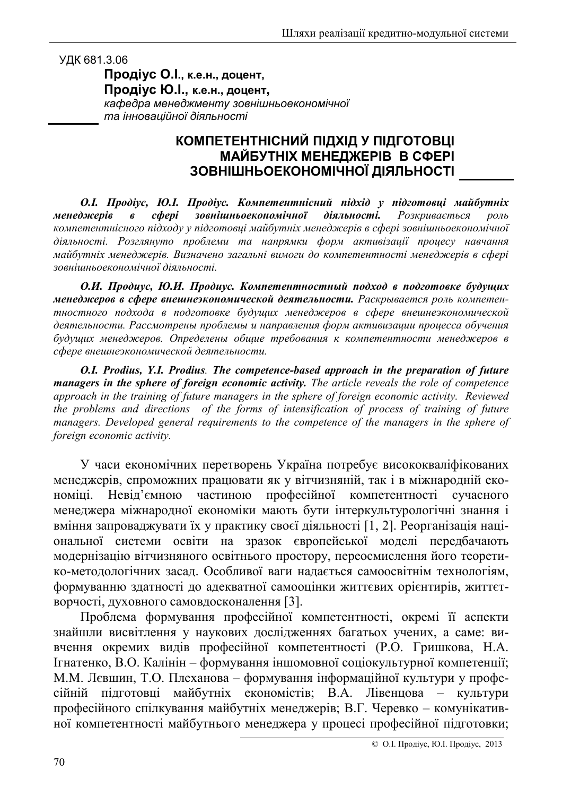УДК 681.3.06

Продіус О.І., к.е.н., доцент, Продіус Ю.І., к.е.н., доцент, кафедра менеджменту зовнішньоекономічної та інноваційної діяльності

## КОМПЕТЕНТНІСНИЙ ПІДХІД У ПІДГОТОВЦІ **МАЙБУТНІХ МЕНЕДЖЕРІВ В СФЕРІ** ЗОВНІШНЬОЕКОНОМІЧНОЇ ДІЯЛЬНОСТІ

О.І. Продіус, Ю.І. Продіус. Компетентнісний підхід у підготовці майбутніх зовнішньоекономічної менеджерів c<sub>obepi</sub> діяльності. Розкривається  $\boldsymbol{\beta}$ роль компетентнісного підходу у підготовці майбутніх менеджерів в сфері зовнішньоекономічної діяльності. Розглянуто проблеми та напрямки форм активізації процесу навчання майбутніх менеджерів. Визначено загальні вимоги до компетентності менеджерів в сфері зовнішньоекономічної діяльності.

О.И. Продиус, Ю.И. Продиус. Компетентностный подход в подготовке будущих менеджеров в сфере внешнеэкономической деятельности. Раскрывается роль компетентностного подхода в подготовке будущих менеджеров в сфере внешнеэкономической деятельности. Рассмотрены проблемы и направления форм активизации процесса обучения будущих менеджеров. Определены общие требования к компетентности менеджеров в сфере внешнеэкономической деятельности.

O.I. Prodius, Y.I. Prodius. The competence-based approach in the preparation of future managers in the sphere of foreign economic activity. The article reveals the role of competence approach in the training of future managers in the sphere of foreign economic activity. Reviewed the problems and directions of the forms of intensification of process of training of future managers. Developed general requirements to the competence of the managers in the sphere of foreign economic activity.

У часи економічних перетворень Україна потребує висококваліфікованих менеджерів, спроможних працювати як у вітчизняній, так і в міжнародній екочастиною професійної компетентності сучасного номіці. Невід'ємною менеджера міжнародної економіки мають бути інтеркультурологічні знання і вміння запроваджувати їх у практику своєї діяльності [1, 2]. Реорганізація національної системи освіти на зразок європейської моделі передбачають модернізацію вітчизняного освітнього простору, переосмислення його теоретико-методологічних засад. Особливої ваги надається самоосвітнім технологіям, формуванню здатності до адекватної самооцінки життєвих орієнтирів, життєтворчості, духовного самовдосконалення [3].

Проблема формування професійної компетентності, окремі її аспекти знайшли висвітлення у наукових дослідженнях багатьох учених, а саме: вивчення окремих видів професійної компетентності (Р.О. Гришкова, Н.А. Ігнатенко, В.О. Калінін - формування іншомовної соціокультурної компетенції; М.М. Лєвшин, Т.О. Плеханова - формування інформаційної культури у професійній підготовці майбутніх економістів; В.А. Лівенцова - культури професійного спілкування майбутніх менеджерів; В.Г. Черевко - комунікативної компетентності майбутнього менеджера у процесі професійної підготовки;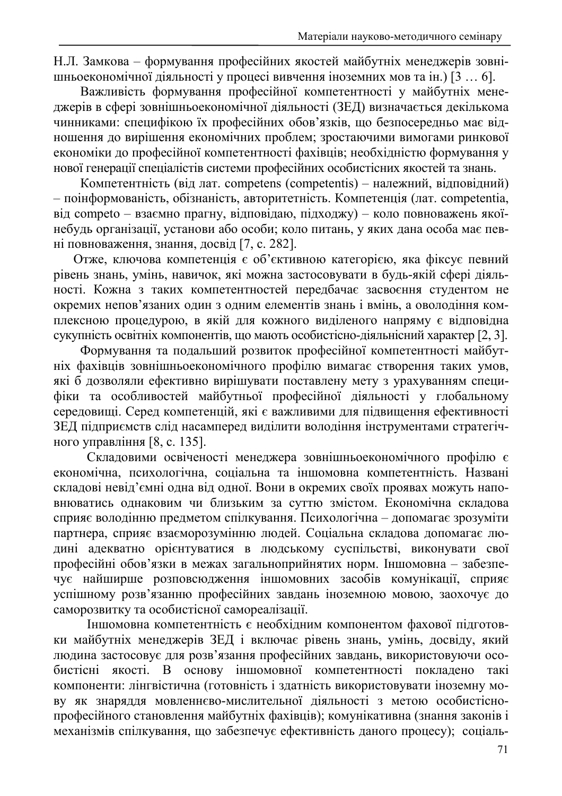Н.Л. Замкова - формування професійних якостей майбутніх менеджерів зовнішньоекономічної діяльності у процесі вивчення іноземних мов та ін.) [3 ... 6].

Важливість формування професійної компетентності у майбутніх менеджерів в сфері зовнішньоекономічної діяльності (ЗЕД) визначається декількома чинниками: специфікою їх професійних обов'язків, що безпосередньо має відношення до вирішення економічних проблем; зростаючими вимогами ринкової економіки до професійної компетентності фахівців; необхідністю формування у нової генерації спеціалістів системи професійних особистісних якостей та знань.

Компетентність (від лат. competens (competentis) – належний, відповідний) - поінформованість, обізнаність, авторитетність. Компетенція (лат. competentia, від competo - взаємно прагну, відповідаю, підходжу) - коло повноважень якоїнебудь організації, установи або особи; коло питань, у яких дана особа має певні повноваження, знання, досвід [7, с. 282].

Отже, ключова компетенція є об'єктивною категорією, яка фіксує певний рівень знань, умінь, навичок, які можна застосовувати в будь-якій сфері діяльності. Кожна з таких компетентностей передбачає засвоєння студентом не окремих непов'язаних один з одним елементів знань і вмінь, а оволодіння комплексною процедурою, в якій для кожного виділеного напряму є відповідна сукупність освітніх компонентів, що мають особистісно-діяльнісний характер [2, 3].

Формування та подальший розвиток професійної компетентності майбутніх фахівців зовнішньоекономічного профілю вимагає створення таких умов, які б дозволяли ефективно вирішувати поставлену мету з урахуванням специфіки та особливостей майбутньої професійної діяльності у глобальному середовищі. Серед компетенцій, які є важливими для підвищення ефективності ЗЕД підприємств слід насамперед виділити володіння інструментами стратегічного управління [8, с. 135].

Складовими освіченості менеджера зовнішньоекономічного профілю є економічна, психологічна, соціальна та іншомовна компетентність. Названі складові невід'ємні одна від одної. Вони в окремих своїх проявах можуть наповнюватись однаковим чи близьким за суттю змістом. Економічна складова сприяє володінню предметом спілкування. Психологічна - допомагає зрозуміти партнера, сприяє взаєморозумінню людей. Соціальна складова допомагає людині адекватно орієнтуватися в людському суспільстві, виконувати свої професійні обов'язки в межах загальноприйнятих норм. Іншомовна - забезпечує найширше розповсюдження іншомовних засобів комунікації, сприяє успішному розв'язанню професійних завдань іноземною мовою, заохочує до саморозвитку та особистісної самореалізації.

Іншомовна компетентність є необхідним компонентом фахової підготовки майбутніх менеджерів ЗЕД і включає рівень знань, умінь, досвіду, який людина застосовує для розв'язання професійних завдань, використовуючи особистісні якості. В основу іншомовної компетентності покладено такі компоненти: лінгвістична (готовність і здатність використовувати іноземну мову як знаряддя мовленнєво-мислительної діяльності з метою особистієнопрофесійного становлення майбутніх фахівців); комунікативна (знання законів і механізмів спілкування, що забезпечує ефективність даного процесу); соціаль-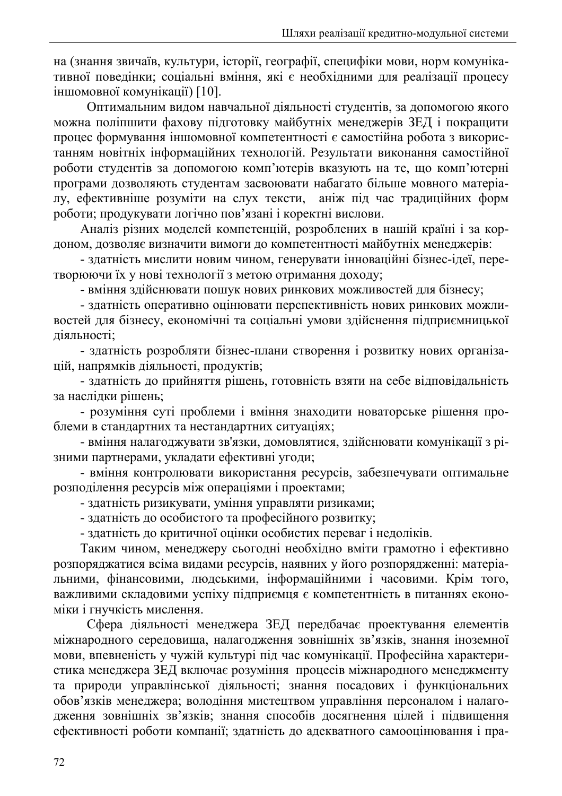на (знання звичаїв, культури, історії, географії, специфіки мови, норм комунікативної поведінки; соціальні вміння, які є необхідними для реалізації процесу іншомовної комунікації) [10].

Оптимальним видом навчальної діяльності студентів, за допомогою якого можна поліпшити фахову підготовку майбутніх менеджерів ЗЕД і покращити процес формування іншомовної компетентності є самостійна робота з використанням новітніх інформаційних технологій. Результати виконання самостійної роботи студентів за допомогою комп'ютерів вказують на те, що комп'ютерні програми дозволяють студентам засвоювати набагато більше мовного матеріалу, ефективніше розуміти на слух тексти, аніж під час традиційних форм роботи; продукувати логічно пов'язані і коректні вислови.

Аналіз різних моделей компетенцій, розроблених в нашій країні і за кордоном, дозволяє визначити вимоги до компетентності майбутніх менеджерів:

- здатність мислити новим чином, генерувати інноваційні бізнес-ідеї, перетворюючи їх у нові технології з метою отримання доходу;

- вміння здійснювати пошук нових ринкових можливостей для бізнесу;

- здатність оперативно оцінювати перспективність нових ринкових можливостей для бізнесу, економічні та соціальні умови здійснення підприємницької діяльності:

- златність розробляти бізнес-плани створення і розвитку нових організацій, напрямків діяльності, продуктів;

- здатність до прийняття рішень, готовність взяти на себе відповідальність за наслідки рішень;

- розуміння суті проблеми і вміння знаходити новаторське рішення проблеми в стандартних та нестандартних ситуаціях;

- вміння налагоджувати зв'язки, домовлятися, здійснювати комунікації з різними партнерами, укладати ефективні угоди;

- вміння контролювати використання ресурсів, забезпечувати оптимальне розподілення ресурсів між операціями і проектами:

- здатність ризикувати, уміння управляти ризиками;

- здатність до особистого та професійного розвитку;

- здатність до критичної оцінки особистих переваг і недоліків.

Таким чином, менеджеру сьогодні необхідно вміти грамотно і ефективно розпоряджатися всіма видами ресурсів, наявних у його розпорядженні: матеріальними, фінансовими, людськими, інформаційними і часовими. Крім того, важливими складовими успіху підприємця є компетентність в питаннях економіки і гнучкість мислення.

Сфера діяльності менеджера ЗЕД передбачає проектування елементів міжнародного середовища, налагодження зовнішніх зв'язків, знання іноземної мови, впевненість у чужій культурі під час комунікації. Професійна характеристика менеджера ЗЕД включає розуміння процесів міжнародного менеджменту та природи управлінської діяльності; знання посадових і функціональних обов'язків менеджера; володіння мистецтвом управління персоналом і налагодження зовнішніх зв'язків; знання способів досягнення цілей і підвищення ефективності роботи компанії; здатність до адекватного самооцінювання і пра-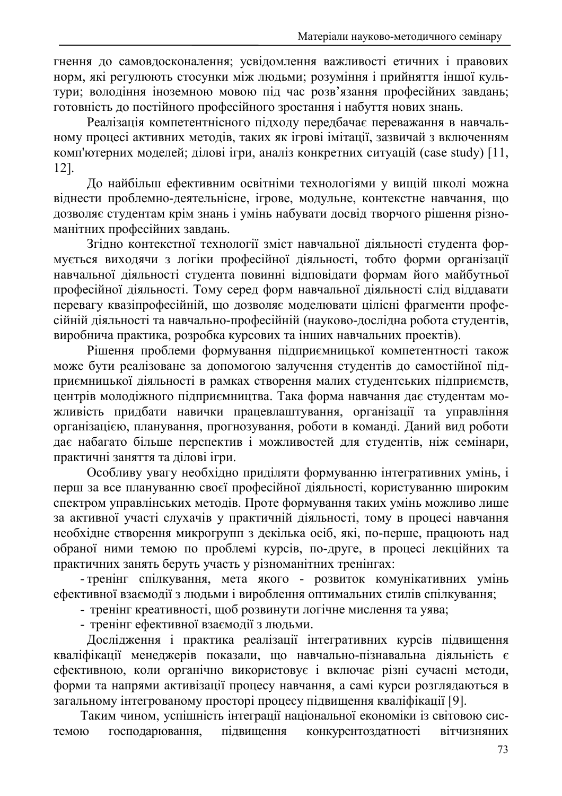гнення до самовдосконалення; усвідомлення важливості етичних і правових норм, які регулюють стосунки між людьми; розуміння і прийняття іншої культури; володіння іноземною мовою під час розв'язання професійних завдань; готовність до постійного професійного зростання і набуття нових знань.

Реалізація компетентнісного підходу передбачає переважання в навчальному процесі активних методів, таких як ігрові імітації, зазвичай з включенням комп'ютерних моделей; ділові ігри, аналіз конкретних ситуацій (case study) [11,  $12$ ].

До найбільш ефективним освітніми технологіями у вищій школі можна віднести проблемно-деятельнісне, ігрове, модульне, контекстне навчання, що дозволяє студентам крім знань і умінь набувати досвід творчого рішення різноманітних професійних завдань.

Згідно контекстної технології зміст навчальної діяльності студента формується виходячи з логіки професійної діяльності, тобто форми організації навчальної діяльності студента повинні відповідати формам його майбутньої професійної діяльності. Тому серед форм навчальної діяльності слід віддавати перевагу квазіпрофесійній, що дозволяє моделювати цілісні фрагменти професійній діяльності та навчально-професійній (науково-дослідна робота студентів, виробнича практика, розробка курсових та інших навчальних проектів).

Рішення проблеми формування підприємницької компетентності також може бути реалізоване за допомогою залучення студентів до самостійної підприємницької діяльності в рамках створення малих студентських підприємств, центрів молодіжного підприємництва. Така форма навчання дає студентам можливість придбати навички працевлаштування, організації та управління організацією, планування, прогнозування, роботи в команді. Даний вид роботи дає набагато більше перспектив і можливостей для студентів, ніж семінари, практичні заняття та ділові ігри.

Особливу увагу необхідно приділяти формуванню інтегративних умінь, і перш за все плануванню своєї професійної діяльності, користуванню широким спектром управлінських методів. Проте формування таких умінь можливо лише за активної участі слухачів у практичній діяльності, тому в процесі навчання необхідне створення микрогрупп з декілька осіб, які, по-перше, працюють над обраної ними темою по проблемі курсів, по-друге, в процесі лекційних та практичних занять беруть участь у різноманітних тренінгах:

- тренінг спілкування, мета якого - розвиток комунікативних умінь ефективної взаємодії з людьми і вироблення оптимальних стилів спілкування;

- тренінг креативності, щоб розвинути логічне мислення та уява;

- тренінг ефективної взаємодії з людьми.

Дослідження і практика реалізації інтегративних курсів підвищення кваліфікації менеджерів показали, що навчально-пізнавальна діяльність є ефективною, коли органічно використовує і включає різні сучасні методи, форми та напрями активізації процесу навчання, а самі курси розглядаються в загальному інтегрованому просторі процесу підвищення кваліфікації [9].

Таким чином, успішність інтеграції національної економіки із світовою сисгосподарювання, підвищення темою конкурентоздатності вітчизняних